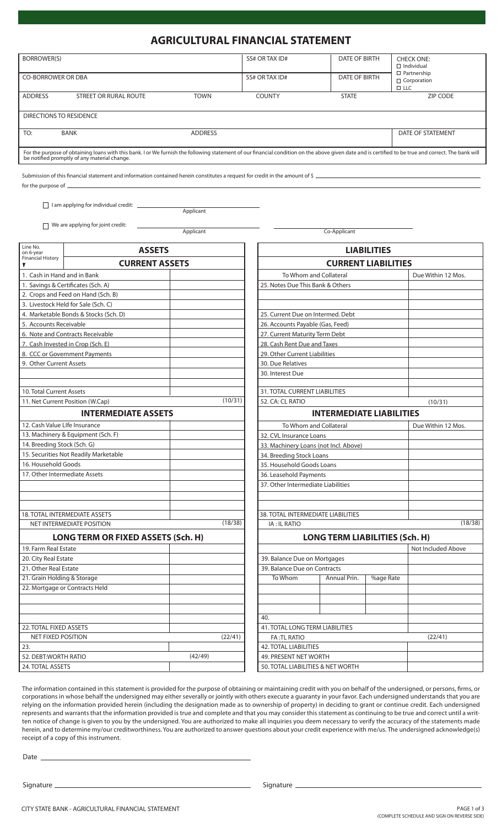## **AGRICULTURAL FINANCIAL STATEMENT**

| <b>BORROWER(S)</b>                                                                                                                                                                                                                                   | SS# OR TAX ID#               | DATE OF BIRTH        | <b>CHECK ONE:</b><br>$\Box$ Individual                    |  |  |  |  |  |
|------------------------------------------------------------------------------------------------------------------------------------------------------------------------------------------------------------------------------------------------------|------------------------------|----------------------|-----------------------------------------------------------|--|--|--|--|--|
| <b>CO-BORROWER OR DBA</b>                                                                                                                                                                                                                            | SS# OR TAX ID#               | <b>DATE OF BIRTH</b> | $\Box$ Partnership<br>$\Box$ Corporation<br>$\square$ LLC |  |  |  |  |  |
| <b>ADDRESS</b><br>STREET OR RURAL ROUTE                                                                                                                                                                                                              | <b>TOWN</b><br><b>COUNTY</b> | <b>STATE</b>         | ZIP CODE                                                  |  |  |  |  |  |
| DIRECTIONS TO RESIDENCE                                                                                                                                                                                                                              |                              |                      |                                                           |  |  |  |  |  |
| TO:<br><b>BANK</b>                                                                                                                                                                                                                                   | <b>ADDRESS</b>               |                      | DATE OF STATEMENT                                         |  |  |  |  |  |
| For the purpose of obtaining loans with this bank. I or We furnish the following statement of our financial condition on the above given date and is certified to be true and correct. The bank will<br>be notified promptly of any material change. |                              |                      |                                                           |  |  |  |  |  |

Submission of this financial statement and information contained herein constitutes a request for credit in the amount of \$  $$ for the purpose of

Applicant

 $\Box$  I am applying for individual credit:  $\Box$ 

 $\Box$  We are applying for joint credit:

Applicant Co-Applicant Co-Applicant

| Line No.<br>on 6-year         | <b>ASSETS</b>                             |         |         |
|-------------------------------|-------------------------------------------|---------|---------|
| <b>Financial History</b>      | <b>CURRENT ASSETS</b>                     |         |         |
| 1. Cash in Hand and in Bank   |                                           |         |         |
|                               | 1. Savings & Certificates (Sch. A)        |         |         |
|                               | 2. Crops and Feed on Hand (Sch. B)        |         |         |
|                               | 3. Livestock Held for Sale (Sch. C)       |         |         |
|                               | 4. Marketable Bonds & Stocks (Sch. D)     |         |         |
| 5. Accounts Receivable        |                                           |         |         |
|                               | 6. Note and Contracts Receivable          |         |         |
|                               | 7. Cash Invested in Crop (Sch. E)         |         |         |
|                               | 8. CCC or Government Payments             |         |         |
| 9. Other Current Assets       |                                           |         |         |
|                               |                                           |         |         |
| 10. Total Current Assets      |                                           |         |         |
|                               | 11. Net Current Position (W.Cap)          |         | (10/31) |
|                               | <b>INTERMEDIATE ASSETS</b>                |         |         |
| 12. Cash Value LIfe Insurance |                                           |         |         |
|                               | 13. Machinery & Equipment (Sch. F)        |         |         |
| 14. Breeding Stock (Sch. G)   |                                           |         |         |
|                               | 15. Securities Not Readily Marketable     |         |         |
| 16. Household Goods           |                                           |         |         |
| 17. Other Intermediate Assets |                                           |         |         |
|                               |                                           |         |         |
|                               | <b>18. TOTAL INTERMEDIATE ASSETS</b>      |         |         |
|                               | NET INTERMEDIATE POSITION                 |         | (18/38) |
|                               | <b>LONG TERM OR FIXED ASSETS (Sch. H)</b> |         |         |
| 19. Farm Real Estate          |                                           |         |         |
| 20. City Real Estate          |                                           |         |         |
| 21. Other Real Estate         |                                           |         |         |
| 21. Grain Holding & Storage   |                                           |         |         |
|                               | 22. Mortgage or Contracts Held            |         |         |
|                               |                                           |         |         |
|                               |                                           |         |         |
| 22. TOTAL FIXED ASSETS        |                                           |         |         |
| <b>NET FIXED POSITION</b>     |                                           |         | (22/41) |
| 23.                           |                                           |         |         |
| 52. DEBT:WORTH RATIO          |                                           | (42/49) |         |
| 24. TOTAL ASSETS              |                                           |         |         |

| <b>LIABILITIES</b>                        |                                       |                            |                    |  |  |  |  |  |
|-------------------------------------------|---------------------------------------|----------------------------|--------------------|--|--|--|--|--|
|                                           |                                       | <b>CURRENT LIABILITIES</b> |                    |  |  |  |  |  |
| To Whom and Collateral                    | Due Within 12 Mos.                    |                            |                    |  |  |  |  |  |
| 25. Notes Due This Bank & Others          |                                       |                            |                    |  |  |  |  |  |
|                                           |                                       |                            |                    |  |  |  |  |  |
|                                           |                                       |                            |                    |  |  |  |  |  |
| 25. Current Due on Intermed. Debt         |                                       |                            |                    |  |  |  |  |  |
| 26. Accounts Payable (Gas, Feed)          |                                       |                            |                    |  |  |  |  |  |
| 27. Current Maturity Term Debt            |                                       |                            |                    |  |  |  |  |  |
| 28. Cash Rent Due and Taxes               |                                       |                            |                    |  |  |  |  |  |
| 29. Other Current Liabilities             |                                       |                            |                    |  |  |  |  |  |
| 30. Due Relatives                         |                                       |                            |                    |  |  |  |  |  |
| 30. Interest Due                          |                                       |                            |                    |  |  |  |  |  |
| 31. TOTAL CURRENT LIABILITIES             |                                       |                            |                    |  |  |  |  |  |
| 52. CA: CL RATIO                          | (10/31)                               |                            |                    |  |  |  |  |  |
|                                           | <b>INTERMEDIATE LIABILITIES</b>       |                            |                    |  |  |  |  |  |
| To Whom and Collateral                    |                                       |                            | Due Within 12 Mos. |  |  |  |  |  |
| 32. CVL Insurance Loans                   |                                       |                            |                    |  |  |  |  |  |
| 33. Machinery Loans (not Incl. Above)     |                                       |                            |                    |  |  |  |  |  |
| 34. Breeding Stock Loans                  |                                       |                            |                    |  |  |  |  |  |
| 35. Household Goods Loans                 |                                       |                            |                    |  |  |  |  |  |
| 36. Leasehold Payments                    |                                       |                            |                    |  |  |  |  |  |
| 37. Other Intermediate Liabilities        |                                       |                            |                    |  |  |  |  |  |
|                                           |                                       |                            |                    |  |  |  |  |  |
|                                           |                                       |                            |                    |  |  |  |  |  |
| <b>38. TOTAL INTERMEDIATE LIABILITIES</b> |                                       |                            |                    |  |  |  |  |  |
| <b>IA: IL RATIO</b>                       |                                       |                            | (18/38)            |  |  |  |  |  |
|                                           | <b>LONG TERM LIABILITIES (Sch. H)</b> |                            |                    |  |  |  |  |  |
|                                           |                                       |                            | Not Included Above |  |  |  |  |  |
| 39. Balance Due on Mortgages              |                                       |                            |                    |  |  |  |  |  |
| 39. Balance Due on Contracts              |                                       |                            |                    |  |  |  |  |  |
| To Whom                                   | Annual Prin.                          | <b>%age Rate</b>           |                    |  |  |  |  |  |
|                                           |                                       |                            |                    |  |  |  |  |  |
|                                           |                                       |                            |                    |  |  |  |  |  |
|                                           |                                       |                            |                    |  |  |  |  |  |
| 40.                                       |                                       |                            |                    |  |  |  |  |  |
| <b>41. TOTAL LONG TERM LIABILITIES</b>    |                                       |                            |                    |  |  |  |  |  |
| FA: TL RATIO                              | (22/41)                               |                            |                    |  |  |  |  |  |
| <b>42. TOTAL LIABILITIES</b>              |                                       |                            |                    |  |  |  |  |  |
| 49. PRESENT NET WORTH                     |                                       |                            |                    |  |  |  |  |  |
| 50. TOTAL LIABILITIES & NET WORTH         |                                       |                            |                    |  |  |  |  |  |

The information contained in this statement is provided for the purpose of obtaining or maintaining credit with you on behalf of the undersigned, or persons, firms, or corporations in whose behalf the undersigned may either severally or jointly with others execute a guaranty in your favor. Each undersigned understands that you are relying on the information provided herein (including the designation made as to ownership of property) in deciding to grant or continue credit. Each undersigned represents and warrants that the information provided is true and complete and that you may consider this statement as continuing to be true and correct until a written notice of change is given to you by the undersigned. You are authorized to make all inquiries you deem necessary to verify the accuracy of the statements made herein, and to determine my/our creditworthiness. You are authorized to answer questions about your credit experience with me/us. The undersigned acknowledge(s) receipt of a copy of this instrument.

Date \_

Signature Signature